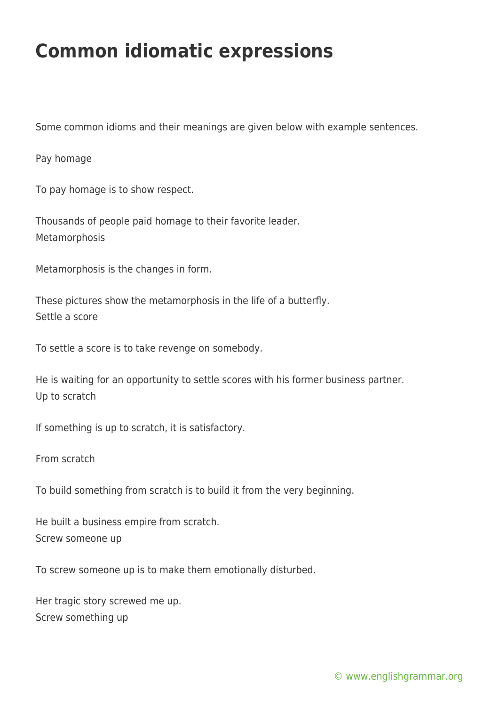## **Common idiomatic expressions**

Some common idioms and their meanings are given below with example sentences.

Pay homage

To pay homage is to show respect.

Thousands of people paid homage to their favorite leader. Metamorphosis

Metamorphosis is the changes in form.

These pictures show the metamorphosis in the life of a butterfly. Settle a score

To settle a score is to take revenge on somebody.

He is waiting for an opportunity to settle scores with his former business partner. Up to scratch

If something is up to scratch, it is satisfactory.

From scratch

To build something from scratch is to build it from the very beginning.

He built a business empire from scratch. Screw someone up

To screw someone up is to make them emotionally disturbed.

Her tragic story screwed me up. Screw something up